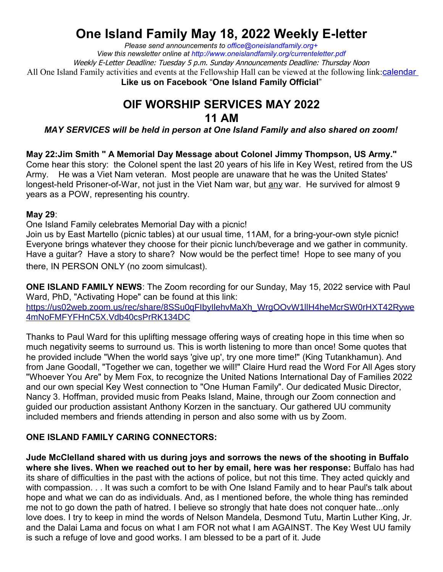## **One Island Family May 18, 2022 Weekly E-letter**

*Please send announcements to office@oneislandfamily.org+ View this newsletter online at http://www.oneislandfamily.org/currenteletter.pdf* Weekly E-Letter Deadline: Tuesday 5 p.m. Sunday Announcements Deadline: Thursday Noon All One Island Family activities and events at the Fellowship Hall can be viewed at the following link:calendar **Like us on Facebook** "**One Island Family Official**"

## **OIF WORSHIP SERVICES MAY 2022 11 AM**

*MAY SERVICES will be held in person at One Island Family and also shared on zoom!*

**May 22:Jim Smith " A Memorial Day Message about Colonel Jimmy Thompson, US Army."** Come hear this story: the Colonel spent the last 20 years of his life in Key West, retired from the US Army. He was a Viet Nam veteran. Most people are unaware that he was the United States' longest-held Prisoner-of-War, not just in the Viet Nam war, but any war. He survived for almost 9 years as a POW, representing his country.

## **May 29**:

One Island Family celebrates Memorial Day with a picnic!

Join us by East Martello (picnic tables) at our usual time, 11AM, for a bring-your-own style picnic! Everyone brings whatever they choose for their picnic lunch/beverage and we gather in community. Have a guitar? Have a story to share? Now would be the perfect time! Hope to see many of you there, IN PERSON ONLY (no zoom simulcast).

**ONE ISLAND FAMILY NEWS**: The Zoom recording for our Sunday, May 15, 2022 service with Paul Ward, PhD, "Activating Hope" can be found at this link: https://us02web.zoom.us/rec/share/8SSu0qFIbyIlehvMaXh\_WrgOOvW1llH4heMcrSW0rHXT42Rywe 4mNoFMFYFHnC5X.Vdb40csPrRK134DC

Thanks to Paul Ward for this uplifting message offering ways of creating hope in this time when so much negativity seems to surround us. This is worth listening to more than once! Some quotes that he provided include "When the world says 'give up', try one more time!" (King Tutankhamun). And from Jane Goodall, "Together we can, together we will!" Claire Hurd read the Word For All Ages story "Whoever You Are" by Mem Fox, to recognize the United Nations International Day of Families 2022 and our own special Key West connection to "One Human Family". Our dedicated Music Director, Nancy 3. Hoffman, provided music from Peaks Island, Maine, through our Zoom connection and guided our production assistant Anthony Korzen in the sanctuary. Our gathered UU community included members and friends attending in person and also some with us by Zoom.

## **ONE ISLAND FAMILY CARING CONNECTORS:**

**Jude McClelland shared with us during joys and sorrows the news of the shooting in Buffalo where she lives. When we reached out to her by email, here was her response:** Buffalo has had its share of difficulties in the past with the actions of police, but not this time. They acted quickly and with compassion. . . It was such a comfort to be with One Island Family and to hear Paul's talk about hope and what we can do as individuals. And, as I mentioned before, the whole thing has reminded me not to go down the path of hatred. I believe so strongly that hate does not conquer hate...only love does. I try to keep in mind the words of Nelson Mandela, Desmond Tutu, Martin Luther King, Jr. and the Dalai Lama and focus on what I am FOR not what I am AGAINST. The Key West UU family is such a refuge of love and good works. I am blessed to be a part of it. Jude